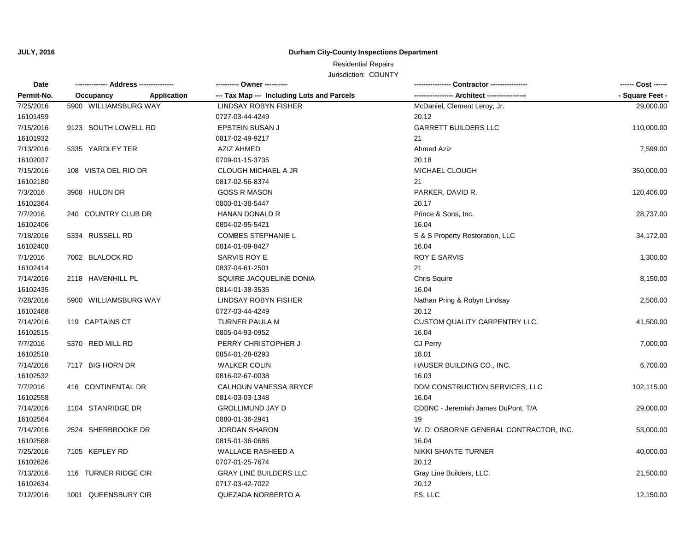**JULY, 2016**

# **Durham City-County Inspections Department**

## Jurisdiction: COUNTY Residential Repairs

| Date       | ---- Address --------------     |                                            |                                             | ------ Cost ------<br>- Square Feet - |
|------------|---------------------------------|--------------------------------------------|---------------------------------------------|---------------------------------------|
| Permit-No. | Occupancy<br><b>Application</b> | --- Tax Map --- Including Lots and Parcels | ---------------- Architect ---------------- |                                       |
| 7/25/2016  | 5900 WILLIAMSBURG WAY           | <b>LINDSAY ROBYN FISHER</b>                | McDaniel, Clement Leroy, Jr.                | 29,000.00                             |
| 16101459   |                                 | 0727-03-44-4249                            | 20.12                                       |                                       |
| 7/15/2016  | 9123 SOUTH LOWELL RD            | <b>EPSTEIN SUSAN J</b>                     | <b>GARRETT BUILDERS LLC</b>                 | 110,000.00                            |
| 16101932   |                                 | 0817-02-49-9217                            | 21                                          |                                       |
| 7/13/2016  | 5335 YARDLEY TER                | <b>AZIZ AHMED</b>                          | Ahmed Aziz                                  | 7,599.00                              |
| 16102037   |                                 | 0709-01-15-3735                            | 20.18                                       |                                       |
| 7/15/2016  | 108 VISTA DEL RIO DR            | CLOUGH MICHAEL A JR                        | MICHAEL CLOUGH                              | 350,000.00                            |
| 16102180   |                                 | 0817-02-56-8374                            | 21                                          |                                       |
| 7/3/2016   | 3908 HULON DR                   | <b>GOSS R MASON</b>                        | PARKER, DAVID R.                            | 120,406.00                            |
| 16102364   |                                 | 0800-01-38-5447                            | 20.17                                       |                                       |
| 7/7/2016   | 240 COUNTRY CLUB DR             | <b>HANAN DONALD R</b>                      | Prince & Sons, Inc.                         | 28,737.00                             |
| 16102406   |                                 | 0804-02-95-5421                            | 16.04                                       |                                       |
| 7/18/2016  | 5334 RUSSELL RD                 | <b>COMBES STEPHANIE L</b>                  | S & S Property Restoration, LLC             | 34,172.00                             |
| 16102408   |                                 | 0814-01-09-8427                            | 16.04                                       |                                       |
| 7/1/2016   | 7002 BLALOCK RD                 | SARVIS ROY E                               | <b>ROY E SARVIS</b>                         | 1,300.00                              |
| 16102414   |                                 | 0837-04-61-2501                            | 21                                          |                                       |
| 7/14/2016  | 2118 HAVENHILL PL               | SQUIRE JACQUELINE DONIA                    | Chris Squire                                | 8,150.00                              |
| 16102435   |                                 | 0814-01-38-3535                            | 16.04                                       |                                       |
| 7/28/2016  | 5900 WILLIAMSBURG WAY           | LINDSAY ROBYN FISHER                       | Nathan Pring & Robyn Lindsay                | 2,500.00                              |
| 16102468   |                                 | 0727-03-44-4249                            | 20.12                                       |                                       |
| 7/14/2016  | 119 CAPTAINS CT                 | TURNER PAULA M                             | CUSTOM QUALITY CARPENTRY LLC.               | 41,500.00                             |
| 16102515   |                                 | 0805-04-93-0952                            | 16.04                                       |                                       |
| 7/7/2016   | 5370 RED MILL RD                | PERRY CHRISTOPHER J                        | CJ Perry                                    | 7,000.00                              |
| 16102518   |                                 | 0854-01-28-8293                            | 18.01                                       |                                       |
| 7/14/2016  | 7117 BIG HORN DR                | <b>WALKER COLIN</b>                        | HAUSER BUILDING CO., INC.                   | 6,700.00                              |
| 16102532   |                                 | 0816-02-67-0038                            | 16.03                                       |                                       |
| 7/7/2016   | 416 CONTINENTAL DR              | <b>CALHOUN VANESSA BRYCE</b>               | DDM CONSTRUCTION SERVICES, LLC              | 102,115.00                            |
| 16102558   |                                 | 0814-03-03-1348                            | 16.04                                       |                                       |
| 7/14/2016  | 1104 STANRIDGE DR               | <b>GROLLIMUND JAY D</b>                    | CDBNC - Jeremiah James DuPont, T/A          | 29,000.00                             |
| 16102564   |                                 | 0880-01-36-2941                            | 19                                          |                                       |
| 7/14/2016  | 2524 SHERBROOKE DR              | <b>JORDAN SHARON</b>                       | W. D. OSBORNE GENERAL CONTRACTOR, INC.      | 53,000.00                             |
| 16102568   |                                 | 0815-01-36-0686                            | 16.04                                       |                                       |
| 7/25/2016  | 7105 KEPLEY RD                  | <b>WALLACE RASHEED A</b>                   | NIKKI SHANTE TURNER                         | 40,000.00                             |
| 16102626   |                                 | 0707-01-25-7674                            | 20.12                                       |                                       |
| 7/13/2016  | 116 TURNER RIDGE CIR            | <b>GRAY LINE BUILDERS LLC</b>              | Gray Line Builders, LLC.                    | 21,500.00                             |
| 16102634   |                                 | 0717-03-42-7022                            | 20.12                                       |                                       |
| 7/12/2016  | 1001 QUEENSBURY CIR             | QUEZADA NORBERTO A                         | FS, LLC                                     | 12,150.00                             |